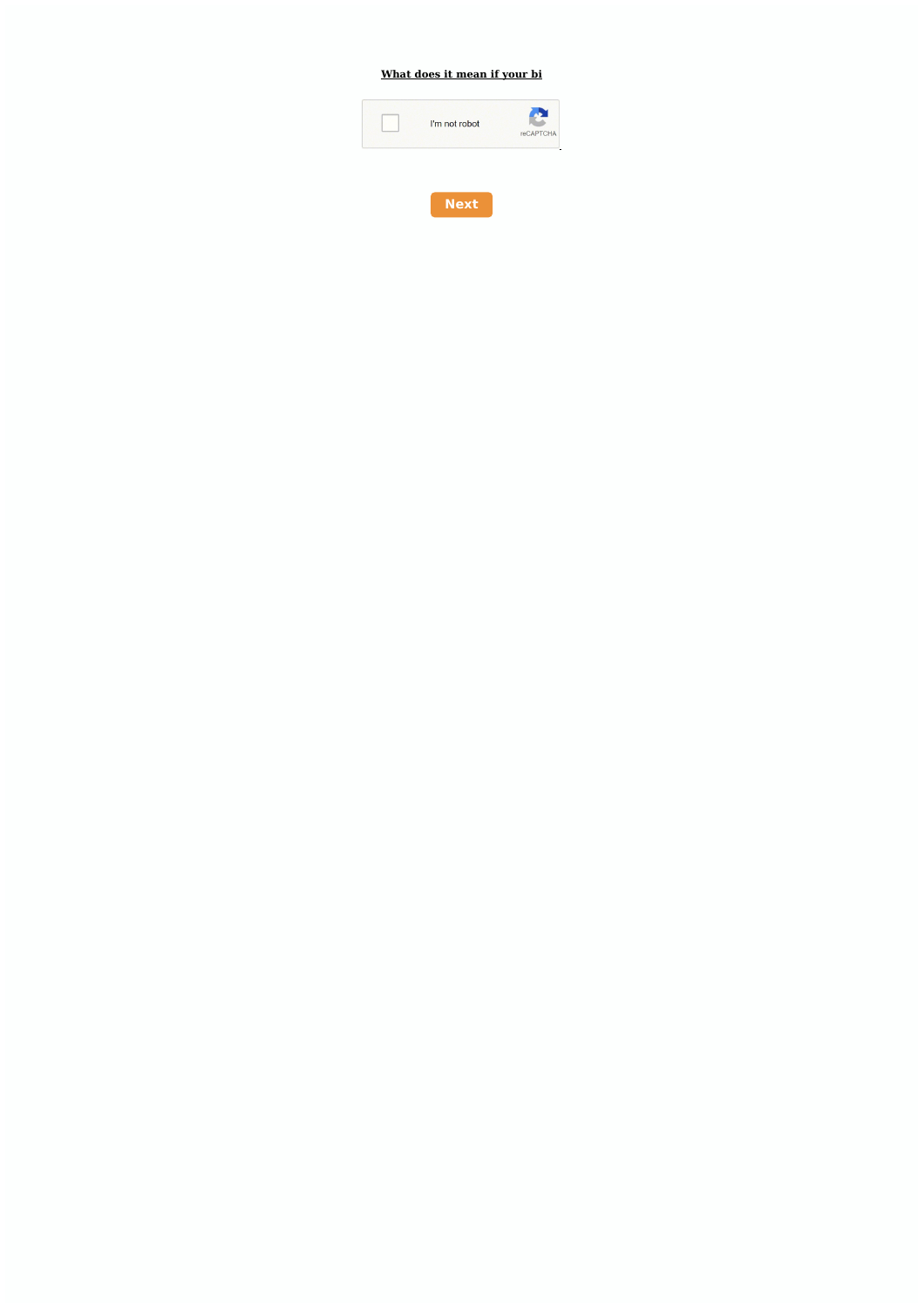## What does it mean if your bi



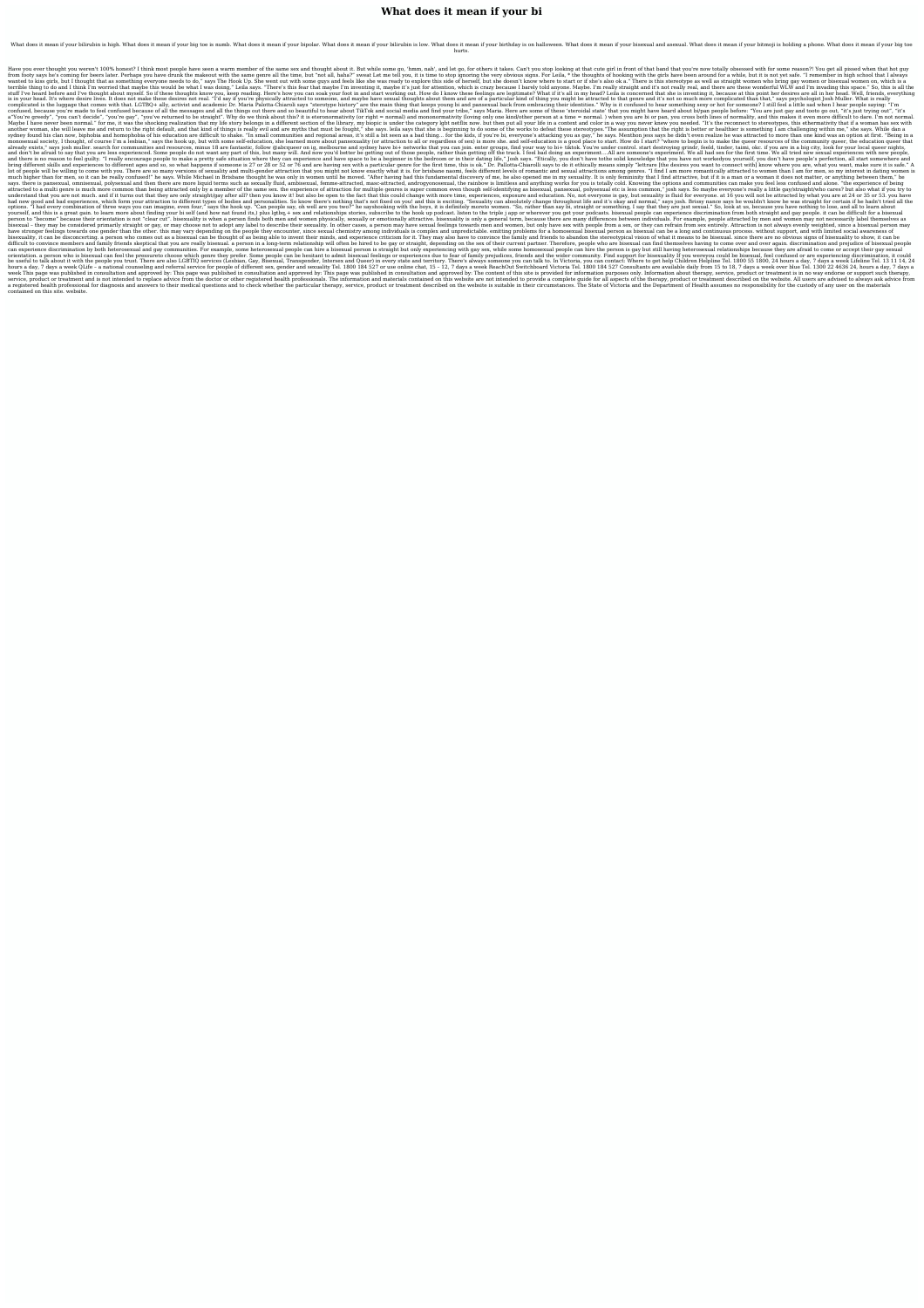## **What does it mean if your bi**

What does it mean if your bilirubin is high. What does it mean if your big toe is numb. What does it mean if your bipolar. What does it mean if your bilirubin is low. What does it mean if your birthday is on halloween. Wha hurts.

I think most people have seen a warm member of the same sex and thought about it. But while some go, 'hmm, nah', and let go, for others it takes. Can't you stop looking at that cute girl in front of that band that you're n from footy says he's coming for beers later. Perhaps you have drunk the makeout with the same genre all the time, but "not all, haha?" sweat Let me tell you, it is time to stop ignoring the very obvious signs. For Leila, \* wanted to kiss girls, but I thought that as something everyone needs to do." says The Hook Up. She went out with some guys and feels like she was ready to explore this side of herself, but she doesn't know where to start o terrible thing to do and I think I'm worried that maybe this would be what I was doing," Leila says. "There's this fear that maybe I'm inventing it, maybe it's just for attention, which is crazy because I barrely told anyo stuff I've heard before and I've thought about myself. So if these thoughts know you, keep reading. Here's how you can soak your foot in and start working out. How do I know these feelings are legitimate? What if it's all is in your head. It's where desire lives. It does not make these desires not real. "I'd say if you're physically attracted to someone, and maybe have sexual thoughts about them and are of a particular kind of thing you mig complicated is the luggage that comes with that. LGTBQ+ ally, activist and academic Dr. Maria Palotta-Chiaroli says "sterotype history" are the main thing that keeps young bi and pansexual back from embracing their identit confused, because you're made to feel confused because of all the messages and all the things out there and so beautiful to hear about TikTok and social media and find your tribe," says Maria. Here are some of these 'stero a "You're greedy", "you can't decide", "you're gay", "you're returned to be straight". Why do we think about this? it is eteronormativity (or right = normal) and mononormativity (loving only one kind/other person at a time Maybe I have never been normal." for me, it was the shocking realization that my life story belongs in a different section of the library, my biopic is under the category lgbt netflix now. but then put all your life in a c another woman, she will leave me and return to the right default, and that kind of things is really evil and are myths that must be fought," she says. leila says that she is beginning to do some of the works to defeat thes sydney found his clan now, biphobia and homophobia of his education are difficult to shake. "In small communities and regional areas, it's still a bit seen as a bad thing... for the kids, if you're bi, everyone's attacking monosexual society, I thought, of course I'm a lesbian," says the hook up, but with some self-education, she learned more about pansexuality (or attraction to all or regardless of sex) is more she. and self-education is a already exists," says josh muller. search for communities and resources, minus 18 are fantastic, follow @abcqueer on ig, melbourne and sydney have bi+ networks that you can join. enter groups, find your way to bi+ tiktok. and don't be afraid to say that you are less experienced. Some people do not want any part of this, but many will. And now you'd better be getting out of those people, rather than getting off the track. I feel bad doing an and there is no reason to feel guilty. "I really encourage people to make a pretty safe situation where they can experience and have space to be a beginner in the bedroom or in their dating life," Josh says. "Etically, you bring different skills and experiences to different ages and so, so what happens if someone is 27 or 28 or 52 or 76 and are having sex with a particular genre for the first time, this is ok." Dr. Pallotta-Chiarolli says to lot of people will be willing to come with you. There are so many versions of sexuality and multi-gender attraction that you might not know exactly what it is, for brisbane naomi, feels different levels of romantic and sex much higher than for men, so it can be really confused!" he says. While Michael in Brisbane thought he was only in women until he moved. "After having had this fundamental discovery of me, he also opened me in my sexuality says. there is pansexual, omnisexual and then there are more liquid terms such as sexually fluid, ambisexual, femme-attracted, masc-attracted, masc-attracted, androgyonosexual, the rainbow is limitless and anything works f attracted to a multi genre is much more common than being attracted only by a member of the same sex. the experience of attraction for multiple genres is super common even though self-identifying as bisexual, polysexual et understand that you are not much. and if it turns out that they are only straight/gay after all? then you know it! but also be open to the fact that this could change with more time, experiences, exposure and education. No had new good and bad experiences, which form your attraction to different types of bodies and personalities. So know there's nothing that's not fixed on you! and this is exciting. "Sexuality can absolutely change throughou options. "I had every combination of three ways you can imagine, even four," says the hook up. "Can people say, oh well are you two?" he sayshooking with the boys, it is definitely more to women. "So, rather than say bi, s yourself, and this is a great gain. to learn more about finding your bi self (and how nat found its,) plus lgtbg, + sex and relationships stories, subscribe to the hook up podcasts. bisexual people can experience discrimin person to "become" because their orientation is not "clear cut". bisexuality is when a person finds both men and women physically, sexually or emotionally attractive. bisexuality is only a general term, because there are m - they may be considered primarily straight or gay, or may choose not to adopt any label to describe their sexuality. In other cases, a person may have sex with people from a sex, or they can refrain from sex entirely. Att have stronger feelings towards one gender than the other. this may vary depending on the people they encounter, since sexual chemistry among individuals is complex and unpredictable. emitting problems for a homosexual bise bisexuality, it can be disconcerting, a person who comes out as a bisexual can be thought of as being able to invent their minds, and experience criticism for it. They may also have to convince the family and friends to ab difficult to convince members and family friends skeptical that you are really bisexual. a person in a long-term relationship will often be hired to be gay or straight, depending on the sex of their current partner. Theref can experience discrimination by both heterosexual and gay communities. For example, some heterosexual people can hire a bisexual person is straight but only experiencing with gay sex, while some homosexual people can hire orientation. a person who is bisexual can feel the pressureto choose which genre they prefer. Some people can be hesitant to admit bisexual feelings or experiences due to fear of family prejudices, friends and the wider co be useful to talk about it with the people you trust. There are also LGBTIQ services (Lesbian, Gay, Bisexual, Transgender, Intersex and Queer) in every state and territory. There's always someone you can talk to. In Victor hours a day, 7 days a week QLife - a national counseling and referral service for people of different sex, gender and sexuality Tel. 1800 184 527 or use online chat, 15 - 12, 7 days a week ReachOut Switchboard Victoria Tel week This page was published in consultation and approved by: This page was published in consultation and approved by: This page was published in consultation and approved by: The content of this site is provided for infor service, product or treatment and is not intended to replace advice from the doctor or other registered health professionals. The information and materials contained on this website are not intended to provide a complete g a registered health professional for diagnosis and answers to their medical questions and to check whether the particular therapy, service, product or treatment described on the website is suitable in their circumstances. contained on this site. website.